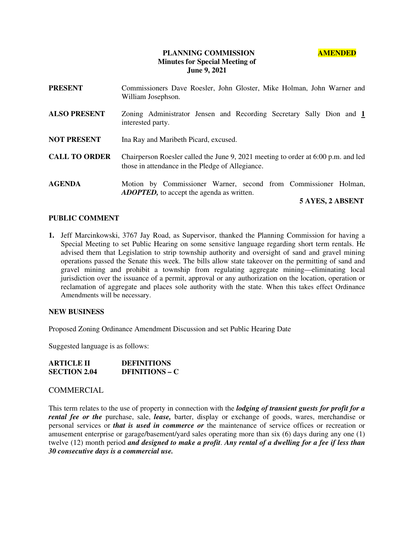# **PLANNING COMMISSION AMENDED Minutes for Special Meeting of June 9, 2021**

| <b>PRESENT</b>       | Commissioners Dave Roesler, John Gloster, Mike Holman, John Warner and<br>William Josephson.                                          |  |
|----------------------|---------------------------------------------------------------------------------------------------------------------------------------|--|
| <b>ALSO PRESENT</b>  | Zoning Administrator Jensen and Recording Secretary Sally Dion and 1<br>interested party.                                             |  |
| <b>NOT PRESENT</b>   | Ina Ray and Maribeth Picard, excused.                                                                                                 |  |
| <b>CALL TO ORDER</b> | Chairperson Roesler called the June 9, 2021 meeting to order at 6:00 p.m. and led<br>those in attendance in the Pledge of Allegiance. |  |
| <b>AGENDA</b>        | Motion by Commissioner Warner, second from Commissioner Holman,<br><b>ADOPTED</b> , to accept the agenda as written.                  |  |

# **5 AYES, 2 ABSENT**

# **PUBLIC COMMENT**

**1.** Jeff Marcinkowski, 3767 Jay Road, as Supervisor, thanked the Planning Commission for having a Special Meeting to set Public Hearing on some sensitive language regarding short term rentals. He advised them that Legislation to strip township authority and oversight of sand and gravel mining operations passed the Senate this week. The bills allow state takeover on the permitting of sand and gravel mining and prohibit a township from regulating aggregate mining—eliminating local jurisdiction over the issuance of a permit, approval or any authorization on the location, operation or reclamation of aggregate and places sole authority with the state. When this takes effect Ordinance Amendments will be necessary.

#### **NEW BUSINESS**

Proposed Zoning Ordinance Amendment Discussion and set Public Hearing Date

Suggested language is as follows:

| <b>ARTICLE II</b>   | <b>DEFINITIONS</b>    |
|---------------------|-----------------------|
| <b>SECTION 2.04</b> | <b>DEINITIONS – C</b> |

#### **COMMERCIAL**

This term relates to the use of property in connection with the *lodging of transient guests for profit for a rental fee or the purchase, sale, <i>lease*, barter, display or exchange of goods, wares, merchandise or personal services or *that is used in commerce or* the maintenance of service offices or recreation or amusement enterprise or garage/basement/yard sales operating more than six (6) days during any one (1) twelve (12) month period *and designed to make a profit*. *Any rental of a dwelling for a fee if less than 30 consecutive days is a commercial use.*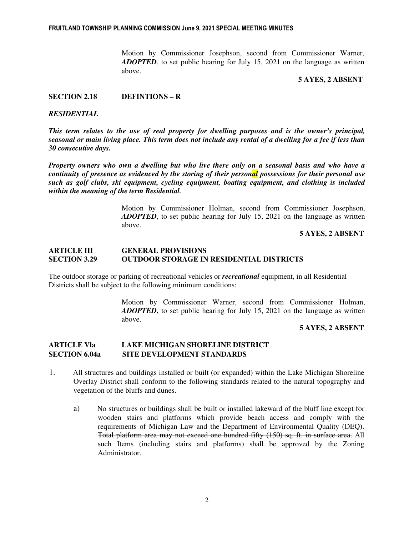Motion by Commissioner Josephson, second from Commissioner Warner, *ADOPTED*, to set public hearing for July 15, 2021 on the language as written above.

# **5 AYES, 2 ABSENT**

# **SECTION 2.18 DEFINTIONS – R**

### *RESIDENTIAL*

*This term relates to the use of real property for dwelling purposes and is the owner's principal, seasonal or main living place. This term does not include any rental of a dwelling for a fee if less than 30 consecutive days.* 

*Property owners who own a dwelling but who live there only on a seasonal basis and who have a continuity of presence as evidenced by the storing of their personal possessions for their personal use such as golf clubs, ski equipment, cycling equipment, boating equipment, and clothing is included within the meaning of the term Residential.* 

> Motion by Commissioner Holman, second from Commissioner Josephson, *ADOPTED*, to set public hearing for July 15, 2021 on the language as written above.

> > **5 AYES, 2 ABSENT**

# **ARTICLE III GENERAL PROVISIONS SECTION 3.29 OUTDOOR STORAGE IN RESIDENTIAL DISTRICTS**

The outdoor storage or parking of recreational vehicles or *recreational* equipment, in all Residential Districts shall be subject to the following minimum conditions:

> Motion by Commissioner Warner, second from Commissioner Holman, *ADOPTED*, to set public hearing for July 15, 2021 on the language as written above.

# **5 AYES, 2 ABSENT**

# **ARTICLE Vla LAKE MICHIGAN SHORELINE DISTRICT SECTION 6.04a SITE DEVELOPMENT STANDARDS**

- 1. All structures and buildings installed or built (or expanded) within the Lake Michigan Shoreline Overlay District shall conform to the following standards related to the natural topography and vegetation of the bluffs and dunes.
	- a) No structures or buildings shall be built or installed lakeward of the bluff line except for wooden stairs and platforms which provide beach access and comply with the requirements of Michigan Law and the Department of Environmental Quality (DEQ). Total platform area may not exceed one hundred fifty (150) sq. ft. in surface area. All such Items (including stairs and platforms) shall be approved by the Zoning Administrator.